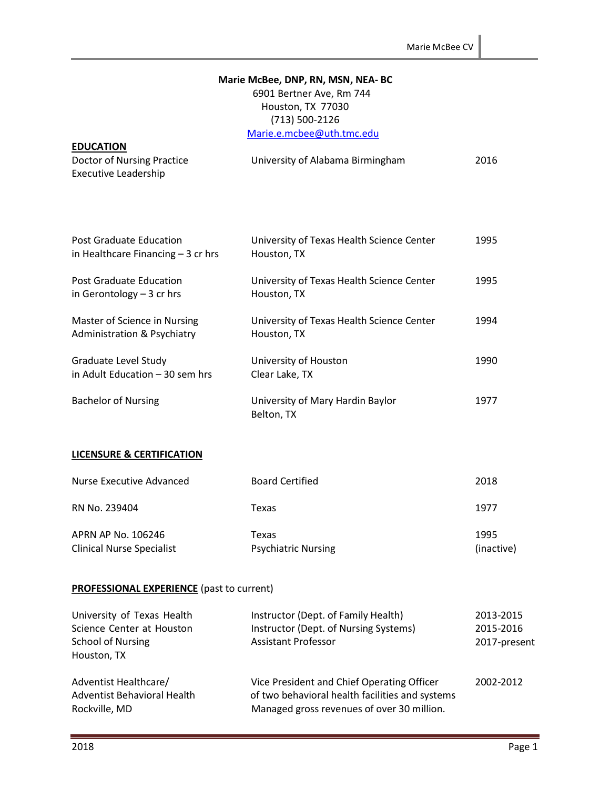#### **Marie McBee, DNP, RN, MSN, NEA- BC**

# 6901 Bertner Ave, Rm 744 Houston, TX 77030 (713) 500-2126 [Marie.e.mcbee@uth.tmc.edu](mailto:Marie.e.mcbee@uth.tmc.edu)

| <b>EDUCATION</b>           |                                  |      |
|----------------------------|----------------------------------|------|
| Doctor of Nursing Practice | University of Alabama Birmingham | 2016 |
| Executive Leadership       |                                  |      |

| <b>Post Graduate Education</b><br>in Healthcare Financing $-3$ cr hrs | University of Texas Health Science Center<br>Houston, TX | 1995 |
|-----------------------------------------------------------------------|----------------------------------------------------------|------|
| <b>Post Graduate Education</b><br>in Gerontology $-3$ cr hrs          | University of Texas Health Science Center<br>Houston, TX | 1995 |
| Master of Science in Nursing<br>Administration & Psychiatry           | University of Texas Health Science Center<br>Houston, TX | 1994 |
| Graduate Level Study<br>in Adult Education - 30 sem hrs               | University of Houston<br>Clear Lake, TX                  | 1990 |
| <b>Bachelor of Nursing</b>                                            | University of Mary Hardin Baylor<br>Belton, TX           | 1977 |

#### **LICENSURE & CERTIFICATION**

| Nurse Executive Advanced                               | <b>Board Certified</b>              | 2018               |
|--------------------------------------------------------|-------------------------------------|--------------------|
| RN No. 239404                                          | Texas                               | 1977               |
| APRN AP No. 106246<br><b>Clinical Nurse Specialist</b> | Texas<br><b>Psychiatric Nursing</b> | 1995<br>(inactive) |

### **PROFESSIONAL EXPERIENCE** (past to current)

| University of Texas Health  | Instructor (Dept. of Family Health)             | 2013-2015    |
|-----------------------------|-------------------------------------------------|--------------|
| Science Center at Houston   | Instructor (Dept. of Nursing Systems)           | 2015-2016    |
| School of Nursing           | <b>Assistant Professor</b>                      | 2017-present |
| Houston, TX                 |                                                 |              |
| Adventist Healthcare/       | Vice President and Chief Operating Officer      | 2002-2012    |
| Adventist Behavioral Health | of two behavioral health facilities and systems |              |
| Rockville, MD               | Managed gross revenues of over 30 million.      |              |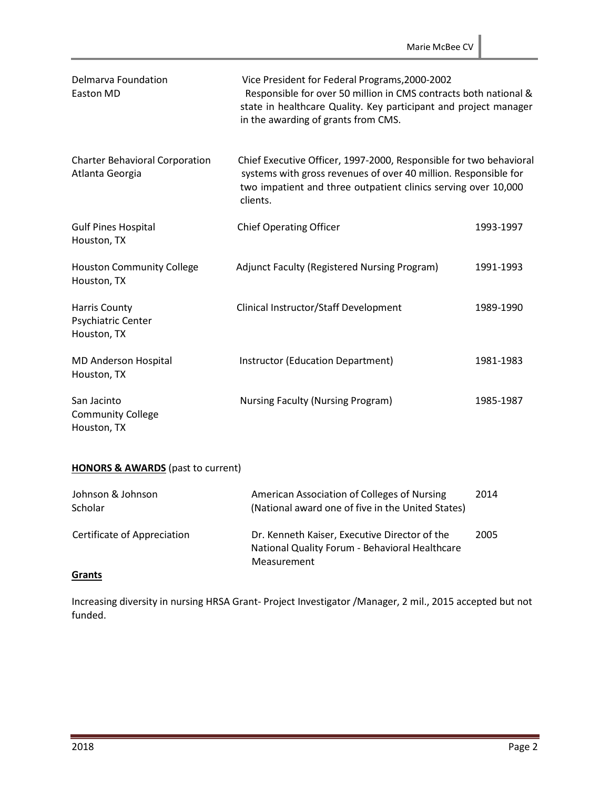| Delmarva Foundation<br><b>Easton MD</b>                   | Vice President for Federal Programs, 2000-2002<br>Responsible for over 50 million in CMS contracts both national &<br>state in healthcare Quality. Key participant and project manager<br>in the awarding of grants from CMS. |           |
|-----------------------------------------------------------|-------------------------------------------------------------------------------------------------------------------------------------------------------------------------------------------------------------------------------|-----------|
| <b>Charter Behavioral Corporation</b><br>Atlanta Georgia  | Chief Executive Officer, 1997-2000, Responsible for two behavioral<br>systems with gross revenues of over 40 million. Responsible for<br>two impatient and three outpatient clinics serving over 10,000<br>clients.           |           |
| <b>Gulf Pines Hospital</b><br>Houston, TX                 | <b>Chief Operating Officer</b>                                                                                                                                                                                                | 1993-1997 |
| <b>Houston Community College</b><br>Houston, TX           | Adjunct Faculty (Registered Nursing Program)                                                                                                                                                                                  | 1991-1993 |
| <b>Harris County</b><br>Psychiatric Center<br>Houston, TX | Clinical Instructor/Staff Development                                                                                                                                                                                         | 1989-1990 |
| <b>MD Anderson Hospital</b><br>Houston, TX                | Instructor (Education Department)                                                                                                                                                                                             | 1981-1983 |
| San Jacinto<br><b>Community College</b><br>Houston, TX    | Nursing Faculty (Nursing Program)                                                                                                                                                                                             | 1985-1987 |

# **HONORS & AWARDS** (past to current)

| Johnson & Johnson<br>Scholar | American Association of Colleges of Nursing<br>(National award one of five in the United States)               | 2014 |
|------------------------------|----------------------------------------------------------------------------------------------------------------|------|
| Certificate of Appreciation  | Dr. Kenneth Kaiser, Executive Director of the<br>National Quality Forum - Behavioral Healthcare<br>Measurement | 2005 |

### **Grants**

Increasing diversity in nursing HRSA Grant- Project Investigator /Manager, 2 mil., 2015 accepted but not funded.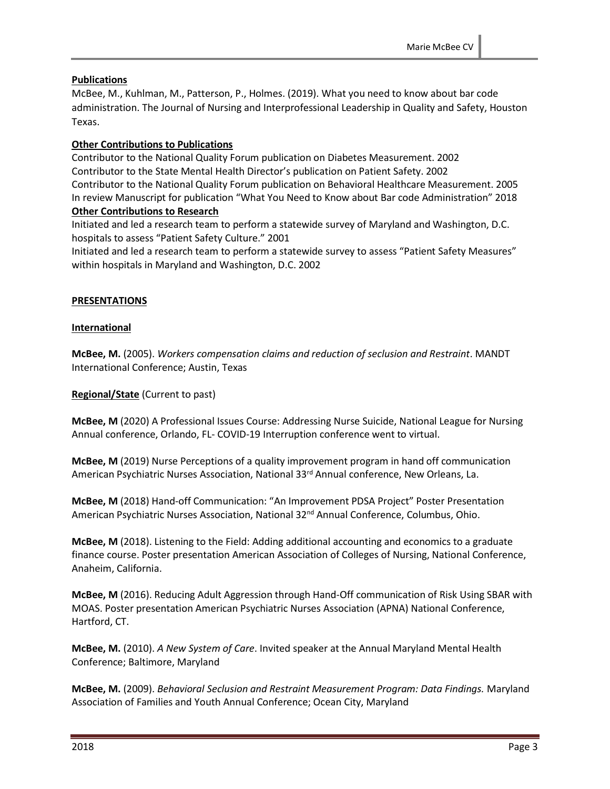### **Publications**

McBee, M., Kuhlman, M., Patterson, P., Holmes. (2019). What you need to know about bar code administration. The Journal of Nursing and Interprofessional Leadership in Quality and Safety, Houston Texas.

### **Other Contributions to Publications**

Contributor to the National Quality Forum publication on Diabetes Measurement. 2002 Contributor to the State Mental Health Director's publication on Patient Safety. 2002 Contributor to the National Quality Forum publication on Behavioral Healthcare Measurement. 2005 In review Manuscript for publication "What You Need to Know about Bar code Administration" 2018 **Other Contributions to Research**

Initiated and led a research team to perform a statewide survey of Maryland and Washington, D.C. hospitals to assess "Patient Safety Culture." 2001

Initiated and led a research team to perform a statewide survey to assess "Patient Safety Measures" within hospitals in Maryland and Washington, D.C. 2002

### **PRESENTATIONS**

### **International**

**McBee, M.** (2005). *Workers compensation claims and reduction of seclusion and Restraint*. MANDT International Conference; Austin, Texas

**Regional/State** (Current to past)

**McBee, M** (2020) A Professional Issues Course: Addressing Nurse Suicide, National League for Nursing Annual conference, Orlando, FL- COVID-19 Interruption conference went to virtual.

**McBee, M** (2019) Nurse Perceptions of a quality improvement program in hand off communication American Psychiatric Nurses Association, National 33 rd Annual conference, New Orleans, La.

**McBee, M** (2018) Hand-off Communication: "An Improvement PDSA Project" Poster Presentation American Psychiatric Nurses Association, National 32<sup>nd</sup> Annual Conference, Columbus, Ohio.

**McBee, M** (2018). Listening to the Field: Adding additional accounting and economics to a graduate finance course. Poster presentation American Association of Colleges of Nursing, National Conference, Anaheim, California.

**McBee, M** (2016). Reducing Adult Aggression through Hand-Off communication of Risk Using SBAR with MOAS. Poster presentation American Psychiatric Nurses Association (APNA) National Conference, Hartford, CT.

**McBee, M.** (2010). *A New System of Care*. Invited speaker at the Annual Maryland Mental Health Conference; Baltimore, Maryland

**McBee, M.** (2009). *Behavioral Seclusion and Restraint Measurement Program: Data Findings.* Maryland Association of Families and Youth Annual Conference; Ocean City, Maryland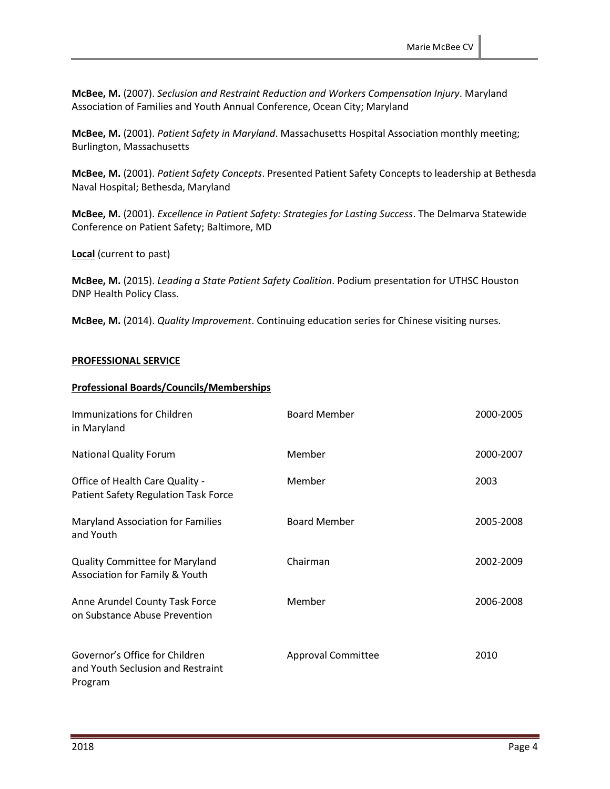**McBee, M.** (2007). *Seclusion and Restraint Reduction and Workers Compensation Injury*. Maryland Association of Families and Youth Annual Conference, Ocean City; Maryland

**McBee, M.** (2001). *Patient Safety in Maryland*. Massachusetts Hospital Association monthly meeting; Burlington, Massachusetts

**McBee, M.** (2001). *Patient Safety Concepts*. Presented Patient Safety Concepts to leadership at Bethesda Naval Hospital; Bethesda, Maryland

**McBee, M.** (2001). *Excellence in Patient Safety: Strategies for Lasting Success*. The Delmarva Statewide Conference on Patient Safety; Baltimore, MD

**Local** (current to past)

**McBee, M.** (2015). *Leading a State Patient Safety Coalition*. Podium presentation for UTHSC Houston DNP Health Policy Class.

**McBee, M.** (2014). *Quality Improvement*. Continuing education series for Chinese visiting nurses.

#### **PROFESSIONAL SERVICE**

#### **Professional Boards/Councils/Memberships**

| Immunizations for Children<br>in Maryland                                      | <b>Board Member</b>       | 2000-2005 |
|--------------------------------------------------------------------------------|---------------------------|-----------|
| <b>National Quality Forum</b>                                                  | Member                    | 2000-2007 |
| Office of Health Care Quality -<br><b>Patient Safety Regulation Task Force</b> | Member                    | 2003      |
| <b>Maryland Association for Families</b><br>and Youth                          | <b>Board Member</b>       | 2005-2008 |
| <b>Quality Committee for Maryland</b><br>Association for Family & Youth        | Chairman                  | 2002-2009 |
| Anne Arundel County Task Force<br>on Substance Abuse Prevention                | Member                    | 2006-2008 |
| Governor's Office for Children<br>and Youth Seclusion and Restraint<br>Program | <b>Approval Committee</b> | 2010      |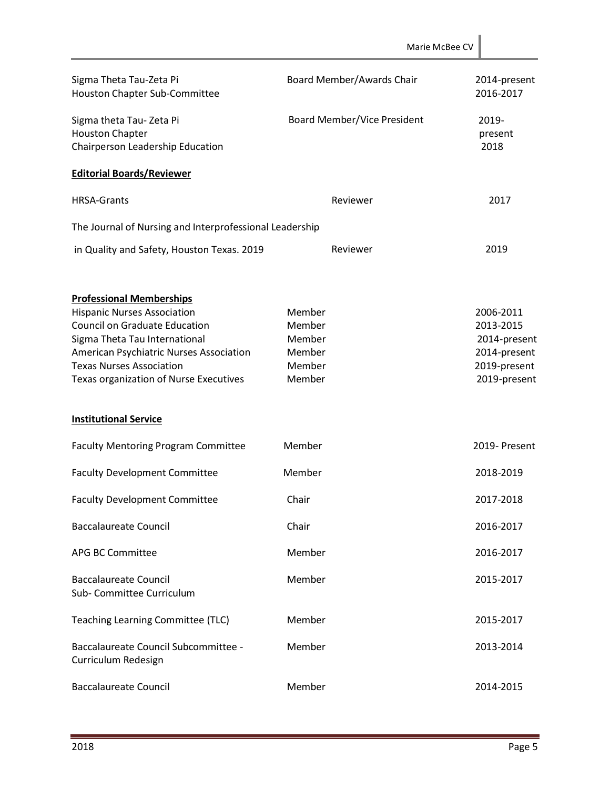|                                                                                                                                                                                                                                                                        |                                                          | Marie McBee CV                                                                         |
|------------------------------------------------------------------------------------------------------------------------------------------------------------------------------------------------------------------------------------------------------------------------|----------------------------------------------------------|----------------------------------------------------------------------------------------|
| Sigma Theta Tau-Zeta Pi<br>Houston Chapter Sub-Committee                                                                                                                                                                                                               | Board Member/Awards Chair                                | 2014-present<br>2016-2017                                                              |
| Sigma theta Tau-Zeta Pi<br><b>Houston Chapter</b><br>Chairperson Leadership Education                                                                                                                                                                                  | Board Member/Vice President                              | 2019-<br>present<br>2018                                                               |
| <b>Editorial Boards/Reviewer</b>                                                                                                                                                                                                                                       |                                                          |                                                                                        |
| <b>HRSA-Grants</b>                                                                                                                                                                                                                                                     | Reviewer                                                 | 2017                                                                                   |
| The Journal of Nursing and Interprofessional Leadership                                                                                                                                                                                                                |                                                          |                                                                                        |
| in Quality and Safety, Houston Texas. 2019                                                                                                                                                                                                                             | Reviewer                                                 | 2019                                                                                   |
| <b>Professional Memberships</b><br><b>Hispanic Nurses Association</b><br><b>Council on Graduate Education</b><br>Sigma Theta Tau International<br>American Psychiatric Nurses Association<br><b>Texas Nurses Association</b><br>Texas organization of Nurse Executives | Member<br>Member<br>Member<br>Member<br>Member<br>Member | 2006-2011<br>2013-2015<br>2014-present<br>2014-present<br>2019-present<br>2019-present |
| <b>Institutional Service</b>                                                                                                                                                                                                                                           |                                                          |                                                                                        |
| <b>Faculty Mentoring Program Committee</b>                                                                                                                                                                                                                             | Member                                                   | 2019- Present                                                                          |
| <b>Faculty Development Committee</b>                                                                                                                                                                                                                                   | Member                                                   | 2018-2019                                                                              |
| <b>Faculty Development Committee</b>                                                                                                                                                                                                                                   | Chair                                                    | 2017-2018                                                                              |
| <b>Baccalaureate Council</b>                                                                                                                                                                                                                                           | Chair                                                    | 2016-2017                                                                              |
| <b>APG BC Committee</b>                                                                                                                                                                                                                                                | Member                                                   | 2016-2017                                                                              |
| <b>Baccalaureate Council</b><br>Sub- Committee Curriculum                                                                                                                                                                                                              | Member                                                   | 2015-2017                                                                              |
| Teaching Learning Committee (TLC)                                                                                                                                                                                                                                      | Member                                                   | 2015-2017                                                                              |
| Baccalaureate Council Subcommittee -<br>Curriculum Redesign                                                                                                                                                                                                            | Member                                                   | 2013-2014                                                                              |
| <b>Baccalaureate Council</b>                                                                                                                                                                                                                                           | Member                                                   | 2014-2015                                                                              |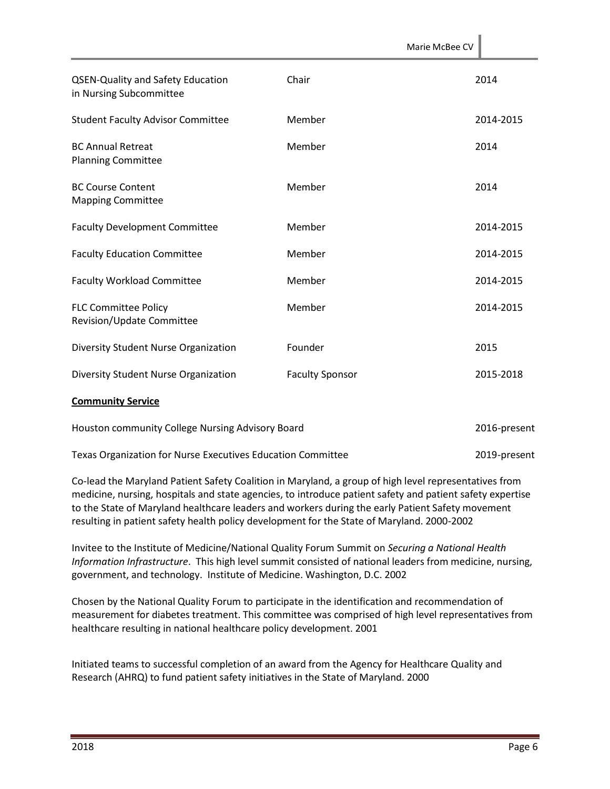|                                                                     |                        | Marie McBee CV |              |
|---------------------------------------------------------------------|------------------------|----------------|--------------|
| <b>QSEN-Quality and Safety Education</b><br>in Nursing Subcommittee | Chair                  |                | 2014         |
| <b>Student Faculty Advisor Committee</b>                            | Member                 |                | 2014-2015    |
| <b>BC Annual Retreat</b><br><b>Planning Committee</b>               | Member                 |                | 2014         |
| <b>BC Course Content</b><br><b>Mapping Committee</b>                | Member                 |                | 2014         |
| <b>Faculty Development Committee</b>                                | Member                 |                | 2014-2015    |
| <b>Faculty Education Committee</b>                                  | Member                 |                | 2014-2015    |
| <b>Faculty Workload Committee</b>                                   | Member                 |                | 2014-2015    |
| <b>FLC Committee Policy</b><br>Revision/Update Committee            | Member                 |                | 2014-2015    |
| Diversity Student Nurse Organization                                | Founder                |                | 2015         |
| Diversity Student Nurse Organization                                | <b>Faculty Sponsor</b> |                | 2015-2018    |
| <b>Community Service</b>                                            |                        |                |              |
| Houston community College Nursing Advisory Board                    |                        |                | 2016-present |
| Texas Organization for Nurse Executives Education Committee         |                        |                | 2019-present |

Co-lead the Maryland Patient Safety Coalition in Maryland, a group of high level representatives from medicine, nursing, hospitals and state agencies, to introduce patient safety and patient safety expertise to the State of Maryland healthcare leaders and workers during the early Patient Safety movement resulting in patient safety health policy development for the State of Maryland. 2000-2002

Invitee to the Institute of Medicine/National Quality Forum Summit on *Securing a National Health Information Infrastructure*. This high level summit consisted of national leaders from medicine, nursing, government, and technology. Institute of Medicine. Washington, D.C. 2002

Chosen by the National Quality Forum to participate in the identification and recommendation of measurement for diabetes treatment. This committee was comprised of high level representatives from healthcare resulting in national healthcare policy development. 2001

Initiated teams to successful completion of an award from the Agency for Healthcare Quality and Research (AHRQ) to fund patient safety initiatives in the State of Maryland. 2000

 $\mathbb{R}^2$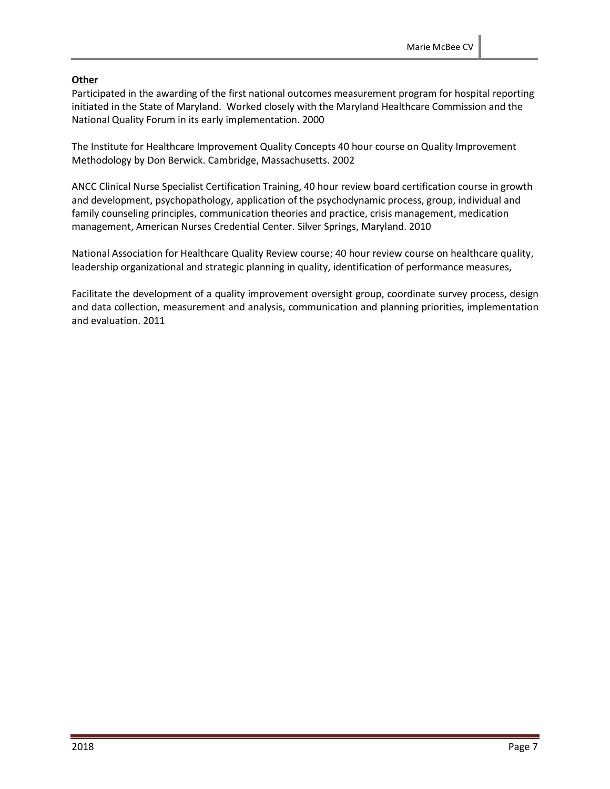# **Other**

Participated in the awarding of the first national outcomes measurement program for hospital reporting initiated in the State of Maryland. Worked closely with the Maryland Healthcare Commission and the National Quality Forum in its early implementation. 2000

The Institute for Healthcare Improvement Quality Concepts 40 hour course on Quality Improvement Methodology by Don Berwick. Cambridge, Massachusetts. 2002

ANCC Clinical Nurse Specialist Certification Training, 40 hour review board certification course in growth and development, psychopathology, application of the psychodynamic process, group, individual and family counseling principles, communication theories and practice, crisis management, medication management, American Nurses Credential Center. Silver Springs, Maryland. 2010

National Association for Healthcare Quality Review course; 40 hour review course on healthcare quality, leadership organizational and strategic planning in quality, identification of performance measures,

Facilitate the development of a quality improvement oversight group, coordinate survey process, design and data collection, measurement and analysis, communication and planning priorities, implementation and evaluation. 2011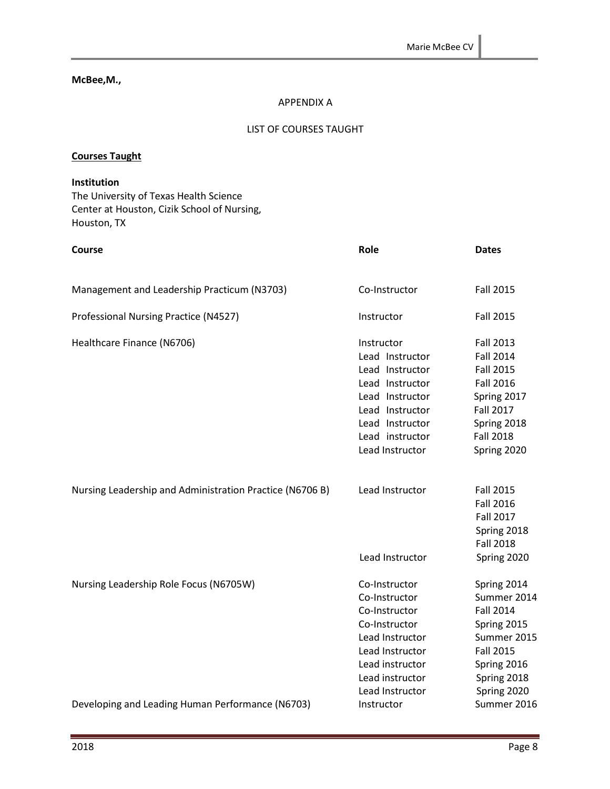#### **McBee,M.,**

#### APPENDIX A

#### LIST OF COURSES TAUGHT

#### **Courses Taught**

# **Institution** The University of Texas Health Science

Center at Houston, Cizik School of Nursing, Houston, TX

| Course                                                   | Role                                                                                                                                                                               | <b>Dates</b>                                                                                                                                                      |
|----------------------------------------------------------|------------------------------------------------------------------------------------------------------------------------------------------------------------------------------------|-------------------------------------------------------------------------------------------------------------------------------------------------------------------|
| Management and Leadership Practicum (N3703)              | Co-Instructor                                                                                                                                                                      | <b>Fall 2015</b>                                                                                                                                                  |
| Professional Nursing Practice (N4527)                    | Instructor                                                                                                                                                                         | <b>Fall 2015</b>                                                                                                                                                  |
| Healthcare Finance (N6706)                               | Instructor<br>Lead Instructor<br>Lead Instructor<br>Lead Instructor<br>Lead Instructor<br>Lead Instructor<br>Lead Instructor<br>Lead instructor<br>Lead Instructor                 | <b>Fall 2013</b><br><b>Fall 2014</b><br><b>Fall 2015</b><br><b>Fall 2016</b><br>Spring 2017<br><b>Fall 2017</b><br>Spring 2018<br><b>Fall 2018</b><br>Spring 2020 |
| Nursing Leadership and Administration Practice (N6706 B) | Lead Instructor                                                                                                                                                                    | <b>Fall 2015</b><br><b>Fall 2016</b><br><b>Fall 2017</b><br>Spring 2018<br><b>Fall 2018</b>                                                                       |
| Nursing Leadership Role Focus (N6705W)                   | Lead Instructor<br>Co-Instructor<br>Co-Instructor<br>Co-Instructor<br>Co-Instructor<br>Lead Instructor<br>Lead Instructor<br>Lead instructor<br>Lead instructor<br>Lead Instructor | Spring 2020<br>Spring 2014<br>Summer 2014<br><b>Fall 2014</b><br>Spring 2015<br>Summer 2015<br><b>Fall 2015</b><br>Spring 2016<br>Spring 2018<br>Spring 2020      |
| Developing and Leading Human Performance (N6703)         | Instructor                                                                                                                                                                         | Summer 2016                                                                                                                                                       |